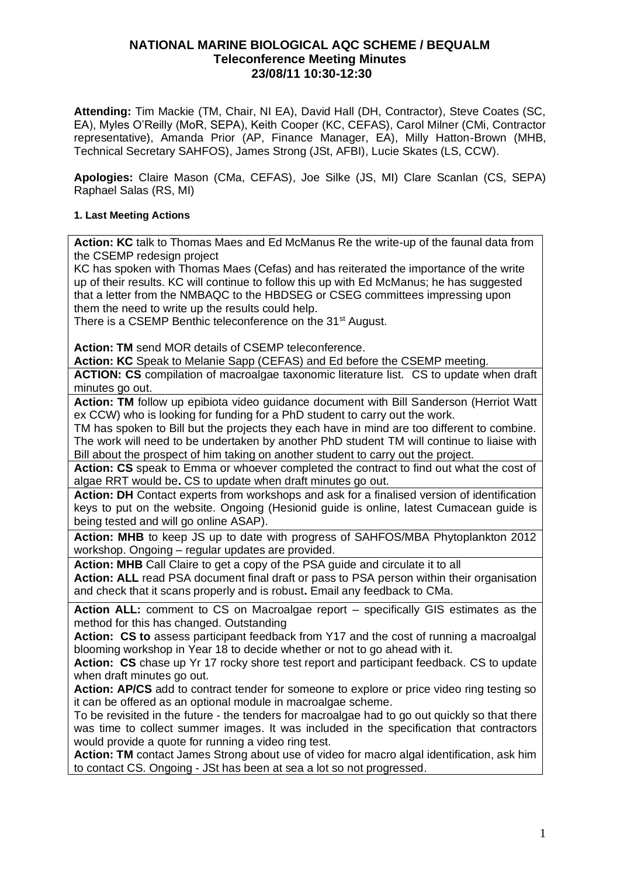# **NATIONAL MARINE BIOLOGICAL AQC SCHEME / BEQUALM Teleconference Meeting Minutes 23/08/11 10:30-12:30**

**Attending:** Tim Mackie (TM, Chair, NI EA), David Hall (DH, Contractor), Steve Coates (SC, EA), Myles O'Reilly (MoR, SEPA), Keith Cooper (KC, CEFAS), Carol Milner (CMi, Contractor representative), Amanda Prior (AP, Finance Manager, EA), Milly Hatton-Brown (MHB, Technical Secretary SAHFOS), James Strong (JSt, AFBI), Lucie Skates (LS, CCW).

**Apologies:** Claire Mason (CMa, CEFAS), Joe Silke (JS, MI) Clare Scanlan (CS, SEPA) Raphael Salas (RS, MI)

## **1. Last Meeting Actions**

**Action: KC** talk to Thomas Maes and Ed McManus Re the write-up of the faunal data from the CSEMP redesign project

KC has spoken with Thomas Maes (Cefas) and has reiterated the importance of the write up of their results. KC will continue to follow this up with Ed McManus; he has suggested that a letter from the NMBAQC to the HBDSEG or CSEG committees impressing upon them the need to write up the results could help.

There is a CSEMP Benthic teleconference on the 31<sup>st</sup> August.

**Action: TM** send MOR details of CSEMP teleconference.

**Action: KC** Speak to Melanie Sapp (CEFAS) and Ed before the CSEMP meeting.

**ACTION: CS** compilation of macroalgae taxonomic literature list. CS to update when draft minutes go out.

Action: TM follow up epibiota video guidance document with Bill Sanderson (Herriot Watt ex CCW) who is looking for funding for a PhD student to carry out the work.

TM has spoken to Bill but the projects they each have in mind are too different to combine. The work will need to be undertaken by another PhD student TM will continue to liaise with Bill about the prospect of him taking on another student to carry out the project.

**Action: CS** speak to Emma or whoever completed the contract to find out what the cost of algae RRT would be**.** CS to update when draft minutes go out.

**Action: DH** Contact experts from workshops and ask for a finalised version of identification keys to put on the website. Ongoing (Hesionid guide is online, latest Cumacean guide is being tested and will go online ASAP).

**Action: MHB** to keep JS up to date with progress of SAHFOS/MBA Phytoplankton 2012 workshop. Ongoing – regular updates are provided.

**Action: MHB** Call Claire to get a copy of the PSA guide and circulate it to all

**Action: ALL** read PSA document final draft or pass to PSA person within their organisation and check that it scans properly and is robust**.** Email any feedback to CMa.

**Action ALL:** comment to CS on Macroalgae report – specifically GIS estimates as the method for this has changed. Outstanding

**Action: CS to** assess participant feedback from Y17 and the cost of running a macroalgal blooming workshop in Year 18 to decide whether or not to go ahead with it.

**Action: CS** chase up Yr 17 rocky shore test report and participant feedback. CS to update when draft minutes go out.

**Action: AP/CS** add to contract tender for someone to explore or price video ring testing so it can be offered as an optional module in macroalgae scheme.

To be revisited in the future - the tenders for macroalgae had to go out quickly so that there was time to collect summer images. It was included in the specification that contractors would provide a quote for running a video ring test.

**Action: TM** contact James Strong about use of video for macro algal identification, ask him to contact CS. Ongoing - JSt has been at sea a lot so not progressed.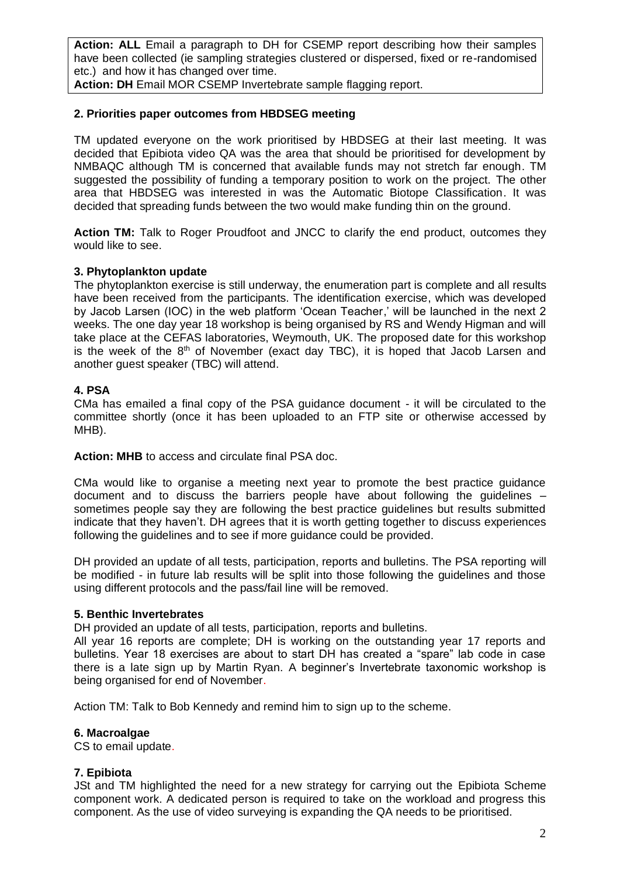**Action: ALL** Email a paragraph to DH for CSEMP report describing how their samples have been collected (ie sampling strategies clustered or dispersed, fixed or re-randomised etc.) and how it has changed over time.

**Action: DH** Email MOR CSEMP Invertebrate sample flagging report.

## **2. Priorities paper outcomes from HBDSEG meeting**

TM updated everyone on the work prioritised by HBDSEG at their last meeting. It was decided that Epibiota video QA was the area that should be prioritised for development by NMBAQC although TM is concerned that available funds may not stretch far enough. TM suggested the possibility of funding a temporary position to work on the project. The other area that HBDSEG was interested in was the Automatic Biotope Classification. It was decided that spreading funds between the two would make funding thin on the ground.

**Action TM:** Talk to Roger Proudfoot and JNCC to clarify the end product, outcomes they would like to see.

## **3. Phytoplankton update**

The phytoplankton exercise is still underway, the enumeration part is complete and all results have been received from the participants. The identification exercise, which was developed by Jacob Larsen (IOC) in the web platform 'Ocean Teacher,' will be launched in the next 2 weeks. The one day year 18 workshop is being organised by RS and Wendy Higman and will take place at the CEFAS laboratories, Weymouth, UK. The proposed date for this workshop is the week of the  $8<sup>th</sup>$  of November (exact day TBC), it is hoped that Jacob Larsen and another guest speaker (TBC) will attend.

#### **4. PSA**

CMa has emailed a final copy of the PSA guidance document - it will be circulated to the committee shortly (once it has been uploaded to an FTP site or otherwise accessed by MHB).

**Action: MHB** to access and circulate final PSA doc.

CMa would like to organise a meeting next year to promote the best practice guidance document and to discuss the barriers people have about following the guidelines – sometimes people say they are following the best practice guidelines but results submitted indicate that they haven't. DH agrees that it is worth getting together to discuss experiences following the guidelines and to see if more guidance could be provided.

DH provided an update of all tests, participation, reports and bulletins. The PSA reporting will be modified - in future lab results will be split into those following the guidelines and those using different protocols and the pass/fail line will be removed.

#### **5. Benthic Invertebrates**

DH provided an update of all tests, participation, reports and bulletins.

All year 16 reports are complete; DH is working on the outstanding year 17 reports and bulletins. Year 18 exercises are about to start DH has created a "spare" lab code in case there is a late sign up by Martin Ryan. A beginner's Invertebrate taxonomic workshop is being organised for end of November.

Action TM: Talk to Bob Kennedy and remind him to sign up to the scheme.

## **6. Macroalgae**

CS to email update.

#### **7. Epibiota**

JSt and TM highlighted the need for a new strategy for carrying out the Epibiota Scheme component work. A dedicated person is required to take on the workload and progress this component. As the use of video surveying is expanding the QA needs to be prioritised.